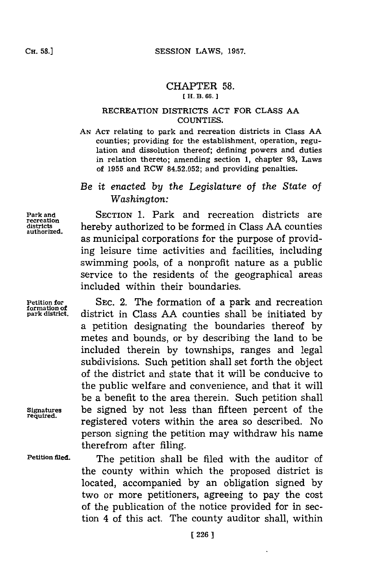### CHAPTER **58. [ H. B. 66.]**

## RECREATION DISTRICTS **ACT** FOR **CLASS AA COUNTIES.**

**AN ACT** relating to park and recreation districts in Class **AA** counties; providing for the establishment, operation, regulation and dissolution thereof; defining powers and duties in relation thereto; amending section **1,** chapter **93,** Laws of **1955** and RCW **84.52.052;** and providing penalties.

# *Be it enacted by the Legislature of the State of Washington:*

**Park and** SECTION **1.** Park and recreation districts are **districts** hereby authorized to be formed in Class **AA** counties as municipal corporations for the purpose of providing leisure time activities and facilities, including swimming pools, of a nonprofit nature as a public service to the residents of the geographical areas included within their boundaries.

Petition for SEC. 2. The formation of a park and recreation formation of a state of park distriction of park distriction of park distriction of  $\mu$ **park district,** district in Class **AA** counties shall be initiated **by** a petition designating the boundaries thereof **by** metes and bounds, or **by** describing the land to be included therein **by** townships, ranges and legal subdivisions. Such petition shall set forth the **object** of the district and state that it will be conducive to the public welfare and convenience, and that it will be a benefit to the area therein. Such petition shall Signatures be signed **by** not less than fifteen percent of the registered voters within the area so described. No person signing the petition may withdraw his name therefrom after filing.

Petition filed. The petition shall be filed with the auditor of the county within which the proposed district is located, accompanied **by** an obligation signed **by** two or more petitioners, agreeing to pay the cost of the publication of the notice provided for in section 4 of this act. The county auditor shall, within

**recreation**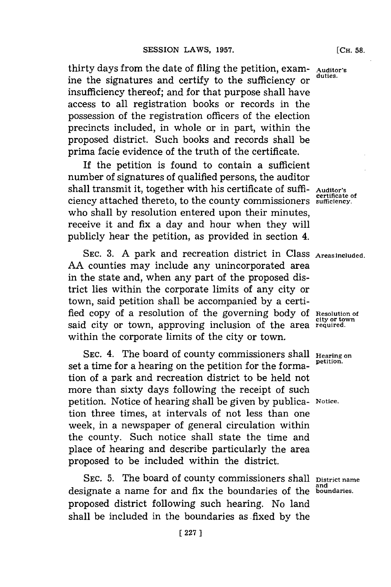thirty days from the date of filing the petition, exam- **Auditor's** ine the signatures and certify to the sufficiency or insufficiency thereof; and for that purpose shall have access to all registration books or records in the possession of the registration officers of the election precincts included, in whole or in part, within the proposed district. Such books and records shall be prima facie evidence of the truth of the certificate.

**If** the petition is found to contain a sufficient number of signatures of qualified persons, the auditor shall transmit it, together with his certificate of **suffi- Auditor's certificate of** ciency attached thereto, to the county commissioners **sufficiency.** who shall **by** resolution entered upon their minutes, receive it and fix a day and hour when they will publicly hear the petition, as provided in section 4.

**SEC. 3. A** park and recreation district in Class **Areas included. AA** counties may include any unincorporated area in the state and, when any part of the proposed district lies within the corporate limits of any city or town, said petition shall be accompanied **by** a certified copy of a resolution of the governing body of Resolution of said city or town, approving inclusion of the area required. within the corporate limits of the city or town.

SEC. 4. The board of county commissioners shall **Hearing** on set a time for a hearing on the petition for the formation of a park and recreation district to be held not more than sixty days following the receipt of such petition. Notice of hearing shall be given **by** publica- **Notice.** tion three times, at intervals of not less than one week, in a newspaper of general circulation within the county. Such notice shall state the time and place of hearing and describe particularly the area proposed to be included within the district.

SEC. 5. The board of county commissioners shall **District name and** designate a name for and fix the boundaries of the **boundaries.** proposed district following such hearing. No land shall be included in the boundaries as fixed **by** the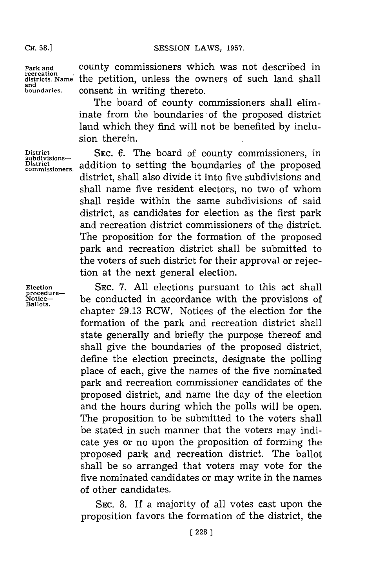#### SESSION LAWS, 1957.

**CH. 58.]**

**Park and recreation districts. Name and boundaries.**

county commissioners which was not described in the petition, unless the owners of such land shall consent in writing thereto.

The board of county commissioners shall eliminate from the boundaries of the proposed district land which they find will not be benefited **by** inclusion therein.

**SEC. 6.** The board of county commissioners, in addition to setting the boundaries of the proposed district, shall also divide it into five subdivisions and shall name five resident electors, no two of whom shall reside within the same subdivisions of said district, as candidates for election as the first park and recreation district commissioners of the district. The proposition for the formation of the proposed park and recreation district shall be submitted to the voters of such district for their approval or rejection at the next general election.

SEC. **7. All** elections pursuant to this act shall be conducted in accordance with the provisions of chapter **29.13** RCW. Notices of the election for the formation of the park and recreation district shall state generally and briefly the purpose thereof and shall give the boundaries of the proposed district, define the election precincts, designate the polling place of each, give the names of the five nominated park and recreation commissioner candidates of the proposed district, and name the day of the election and the hours during which the polls will be open. The proposition to be submitted to the voters shall be stated in such manner that the voters may indicate yes or no upon the proposition of forming the proposed park and recreation district. The ballot shall be so arranged that voters may vote for the five nominated candidates or may write in the names of other candidates.

**SEC. 8.** If a majority of all votes cast upon the proposition favors the formation of the district, the

**District subdivisions-District commissioners.**

**Election procedure-Notice-Ballots.**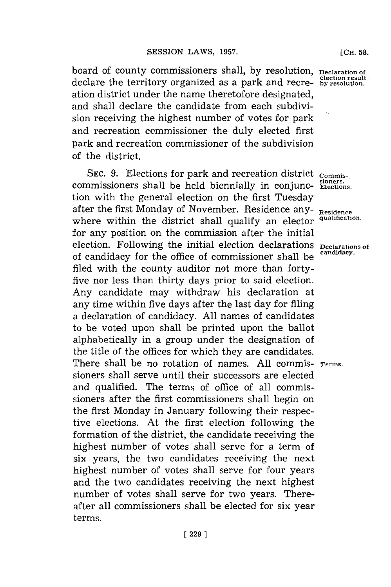board of county commissioners shall, **by** resolution, **Declaration of election result** declare the territory organized as a park and recre- **by resolution.** ation district under the name theretofore designated, and shall declare the candidate from each subdivision receiving the highest number of votes for park and recreation commissioner the duly elected first park and recreation commissioner of the subdivision of the district.

SEC. 9. Elections for park and recreation district  $_{\text{Commission}}$ **sioners.** commissioners shall be held biennially in conjunc- **Elections.** tion with the general election on the first Tuesday after the first Monday of November. Residence any- **Residence** where within the district shall qualify an elector **qualification.** for any position on the commission after the initial election. Following the initial election declarations **Declarations** of of candidacy for the office of commissioner shall be **candidacy.** filed with the county auditor not more than fortyfive nor less than thirty days prior to said election. Any candidate may withdraw his declaration at any time within five days after the last day for filing a declaration of candidacy. **All** names of candidates to be voted upon shall be printed upon the ballot alphabetically in a group under the designation of the title of the offices for which they are candidates. There shall be no rotation of names. **All** commis- **Terms.** sioners shall serve until their successors are elected and qualified. The terms of office of all commissioners after the first commissioners shall begin on the first Monday in January following their respective elections. At the first election following the formation of the district, the candidate receiving the highest number of votes shall serve for a term of six years, the two candidates receiving the next highest number of votes shall serve for four years and the two candidates receiving the next highest number of votes shall serve for two years. Thereafter all commissioners shall be elected for six year terms.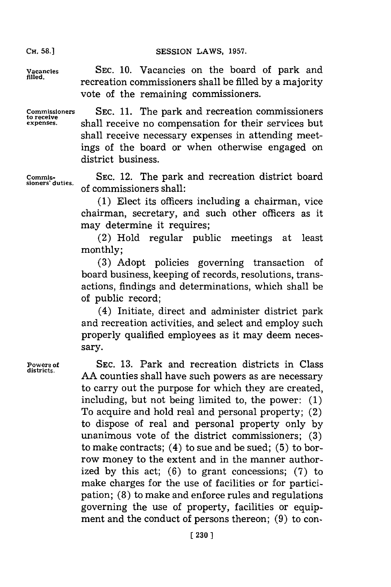# **Cli.58.]SESSION LAWS, 1957.**

**CH. 58.1**

**Commissioners to receive expenses.**

**Vacancies SEC. 10.** Vacancies on the board of park and filled. recreation commissioners shall be filled **by** a majority vote of the remaining commissioners.

**SEC. 11.** The park and recreation commissioners shall receive no compensation for their services but shall receive necessary expenses in attending meetings of the board or when otherwise engaged on district business.

**Commissioners' duties.**

**SEC.** 12. The park and recreation district board of commissioners shall:

**(1)** Elect its officers including a chairman, vice chairman, secretary, and such other officers as it may determine it requires:

(2) Hold regular public meetings at least monthly;

**(3)** Adopt policies governing transaction of board business, keeping of records, resolutions, transactions, findings and determinations, which shall be of public record;

(4) Initiate, direct and administer district park and recreation activities, and select and employ such properly qualified employees as it may deem necessary.

Powers of SEC. 13. Park and recreation districts in Class districts. AA counties shall have such powers as are necessary to carry out the purpose for which they are created, including, but not being limited to, the power: **(1)** To acquire and hold real and personal property; (2) to dispose of real and personal property only **by** unanimous vote of the district commissioners; **(3)** to make contracts; (4) to sue and be sued; **(5)** to borrow money to the extent and in the manner authorized **by** this act; **(6)** to grant concessions; **(7)** to make charges for the use of facilities or for participation; **(8)** to make and enforce rules and regulations governing the use of property, facilities or equipment and the conduct of persons thereon; **(9)** to con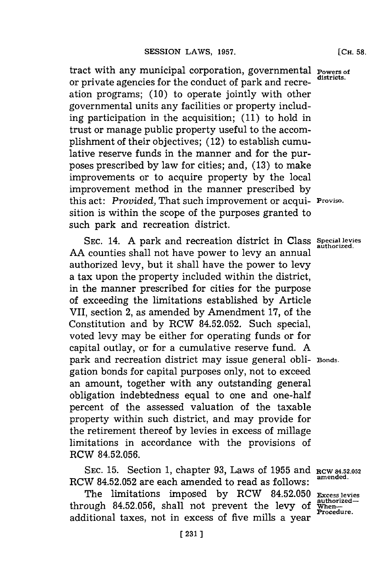tract with any municipal corporation, governmental **Powers of** or private agencies for the conduct of park and recreation programs; **(10)** to operate jointly with other governmental units any facilities or property including participation in the acquisition; **(11)** to hold in trust or manage public property useful to the accomplishment of their objectives; (12) to establish cumulative reserve funds in the manner and for the purposes prescribed **by** law for cities; and, **(13)** to make improvements or to acquire property **by** the local improvement method in the manner prescribed **by** this act: *Provided,* That such improvement or acqui- **Proviso.** sition is within the scope of the purposes granted to such park and recreation district.

**SEC.** 14. **A** park and recreation district in Class **Special levies AA** counties shall not have power to levy an annual authorized levy, but it shall have the power to levy a tax upon the property included within the district, in the manner prescribed for cities for the purpose of exceeding the limitations established **by** Article VII, section 2, as amended **by** Amendment **17,** of the Constitution and **by** RCW **84.52.052.** Such special, voted levy may be either for operating funds or for capital outlay, or for a cumulative reserve fund. **A** park and recreation district may issue general obli- **Bonds.** gation bonds for capital purposes only, not to exceed an amount, together with any outstanding general obligation indebtedness equal to one and one-half percent of the assessed valuation of the taxable property within such district, and may provide for the retirement thereof **by** levies in excess of millage limitations in accordance with the provisions of RCW **84.52.056.**

**SEC. 15.** Section **1,** chapter **93,** Laws of **1955** and **RCW 84.52.052** RCW 84.52.052 are each amended to read as follows:

The limitations imposed by RCW 84.52.050 Excess levies<br>ough 84.52.056, shall not prevent the levy of When-<br>little and Procedure. through 84.52.056, shall not prevent the levy of additional taxes, not in excess of five mills a year

**authorized.**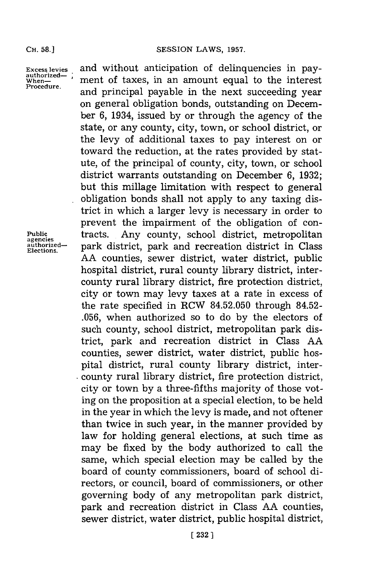**Excess levies authorized-When-Procedure.**

and without anticipation of delinquencies in payment of taxes, in an amount equal to the interest and principal payable in the next succeeding year on general obligation bonds, outstanding on December **6,** 1934, issued **by** or through the agency of the state, or any county, city, town, or school district, or the levy of additional taxes to pay interest on or toward the reduction, at the rates provided **by** statute, of the principal of county, city, town, or school district warrants outstanding on December **6, 1932;** but this millage limitation with respect to general obligation bonds shall not apply to any taxing district in which a larger levy is necessary in order to prevent the impairment of the obligation of contracts. Any county, school district, metropolitan park district, park and recreation district in Class **AA** counties, sewer district, water district, public hospital district, rural county library district, intercounty rural library district, fire protection district, city or town may levy taxes at a rate in excess of the rate specified in RCW **84.52.050** through 84.52- **.056,** when authorized so to do **by** the electors of such county, school district, metropolitan park district, park and recreation district in Class **AA** counties, sewer district, water district, public hospital district, rural county library district, intercounty rural library district, fire protection district, city or town **by** a three-fifths majority of those voting on the proposition at a special election, to be held in the year in which the levy is made, and not oftener than twice in such year, in the manner provided **by** law for holding general elections, at such time as may be fixed **by** the body authorized to call the same, which special election may be called **by** the board of county commissioners, board of school directors, or council, board of commissioners, or other governing body of any metropolitan park district, park and recreation district in Class **AA** counties, sewer district, water district, public hospital district,

**Public agencies authorized-Elections.**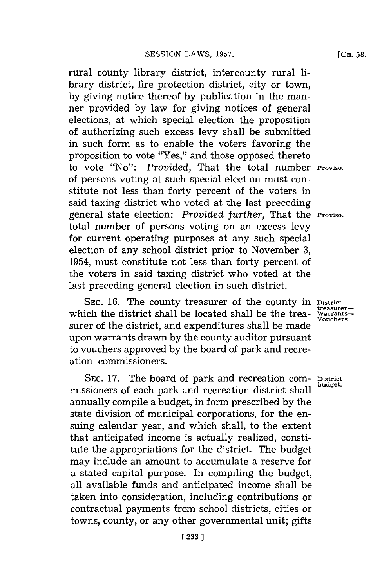rural county library district, intercounty rural library district, fire protection district, city or town, **by** giving notice thereof **by** publication in the manner provided **by** law for giving notices of general elections, at which special election the proposition of authorizing such excess levy shall be submitted in such form as to enable the voters favoring the proposition to vote "Yes," and those opposed thereto to vote "No": Provided, That the total number **Proviso.** of persons voting at such special election must constitute not less than forty percent of the voters in said taxing district who voted at the last preceding general state election: *Provided further,* That the **Proviso.** total number of persons voting on an excess levy for current operating purposes at any such special election of any school district prior to November **3,** 1954, must constitute not less than forty percent of the voters in said taxing district who voted at the last preceding general election in such district.

SEC. 16. The county treasurer of the county in District treasurer-<br>ich the district shall be located shall be the trea- Warrantswhich the district shall be located shall be the trea- Warrants-<br>
<sup>treasurer-</sup> surer of the district, and expenditures shall be made upon warrants drawn **by** the county auditor pursuant to vouchers approved **by** the board of park and recreation commissioners.

SEC. 17. The board of park and recreation com- District missioners of each park and recreation district shall **budget.** annually compile a budget, in form prescribed **by** the state division of municipal corporations, for the ensuing calendar year, and which shall, to the extent that anticipated income is actually realized, constitute the appropriations for the district. The budget may include an amount to accumulate a reserve for a stated capital purpose. In compiling the budget, all available funds and anticipated income shall be taken into consideration, including contributions or contractual payments from school districts, cities or towns, county, or any other governmental unit; gifts

**[CH. 58.**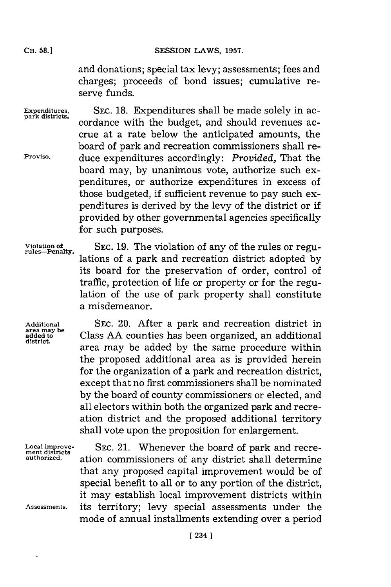and donations; special tax levy; assessments; fees and charges; proceeds of bond issues; cumulative reserve funds.

Expenditures, SEC. 18. Expenditures shall be made solely in accordance with the budget, and should revenues accrue at a rate below the anticipated amounts, the board of park and recreation commissioners shall re-**Proviso.** duce expenditures accordingly: *Provided,* That the board may, **by** unanimous vote, authorize such expenditures, or authorize expenditures in excess of those budgeted, if sufficient revenue to pay such expenditures is derived **by** the levy of the district or if provided **by** other governmental agencies specifically for such purposes.

**Violation of rules-Penalty.**

**SEC. 19.** The violation of any of the rules or regulations of a park and recreation district adopted **by** its board for the preservation of order, control of traffic, protection of life or property or **for** the regulation of the use of park property shall constitute a misdemeanor.

**Additional area may be added to district.**

SEC. 20. After a park and recreation district in Class **AA** counties has been organized, an additional area may be added **by** the same procedure within the proposed additional area as is provided herein for the organization of a park and recreation district, except that no first commissioners shall be nominated **by** the board of county commissioners or elected, and all electors within both the organized park and recreation district and the proposed additional territory shall vote upon the proposition for enlargement.

**Local improve- SEC.** 21. Whenever the board of park and recre- **ment districts** ation commissioners of any district shall determine that any proposed capital improvement would be of special benefit to all or to any portion of the district, it may establish local improvement districts within **Assessments,** its territory; levy special assessments under the mode of annual installments extending over a period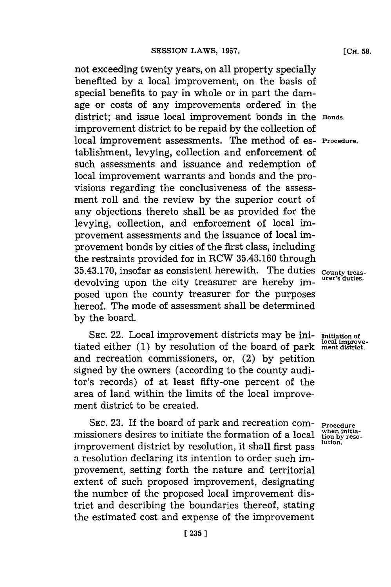not exceeding twenty years, on all property specially benefited **by** a local improvement, on the basis of special benefits to pay in whole or in part the damage or costs of any improvements ordered in the district; and issue local improvement bonds in the **Bonds.** improvement district to be repaid **by** the collection of local improvement assessments. The method of es- **Procedure.** tablishment, levying, collection and enforcement of such assessments and issuance and redemption of local improvement warrants and bonds and the provisions regarding the conclusiveness of the assessment roll and the review **by** the superior court of any objections thereto shall be as provided for the levying, collection, and enforcement of local improvement assessments and the issuance of local improvement bonds **by** cities of the first class, including the restraints provided for in RCW **35.43.160** through **35.43.170,** insofar as consistent herewith. The duties **County treas**devolving upon the city treasurer are hereby imposed upon the county treasurer for the purposes hereof. The mode of assessment shall be determined **by** the board.

**SEC.** 22. Local improvement districts may be ini- **Initiation of** tiated either **(1)** by resolution of the board of park ment district. and recreation commissioners, or, (2) **by** petition signed **by** the owners (according to the county auditor's records) of at least fifty-one percent of the area of land within the limits of the local improvement district to be created.

SEC. 23. If the board of park and recreation com-<br>sioners desires to initiate the formation of a local tion by resomissioners desires to initiate the formation of a local  $\frac{\text{when in}}{\text{tion by } \text{to } \text{in}}$ improvement district by resolution, it shall first pass a resolution declaring its intention to order such improvement, setting forth the nature and territorial extent of such proposed improvement, designating the number of the proposed local improvement district and describing the boundaries thereof, stating the estimated cost and expense of the improvement

**[CH. 58.**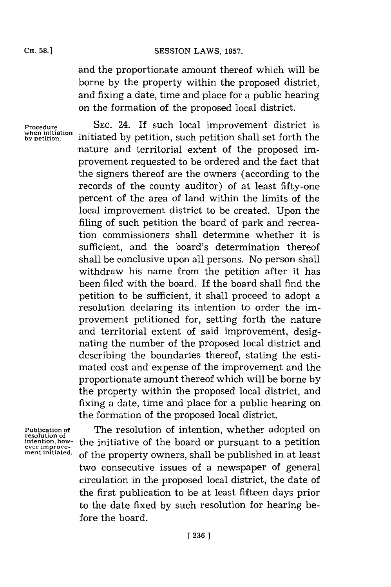# SESSION LAWS, 1957.

and the proportionate amount thereof which will be borne **by** the property within the proposed district, and fixing a date, time and place for a public hearing on the formation of the proposed local district.

**Procedure when initiation by petition.**

**SEC.** 24. If such local improvement district is initiated **by** petition, such petition shall set forth the -nature and territorial extent of the proposed improvement requested to be ordered and the fact that the signers thereof are the owners (according to the records of the county auditor) of at least fifty-one percent of the area of land within the limits of the local improvement district to be created. Upon the filing of such petition the board of park and recreation commissioners shall determine whether it is sufficient, and the board's determination thereof shall be conclusive upon all persons. No person shall withdraw his name from the petition after it has been filed with the board. If the board shall find the petition to be sufficient, it shall proceed to adopt a resolution declaring its intention to order the improvement petitioned for, setting forth the nature and territorial extent of said improvement, designating the number of the proposed local district and describing the boundaries thereof, stating the estimated cost and expense of the improvement and the proportionate amount thereof which will be borne **by** the property within the proposed local district, and fixing a date, time and place for a public hearing on the formation of the proposed local district.

**Publication of resolution of** intention, how**ment initiated.**

The resolution of intention, whether adopted on the initiative of the board or pursuant to a petition of the property owners, shall be published in at least two consecutive issues of a newspaper of general circulation in the proposed local district, the date of the first publication to be at least fifteen days prior to the date fixed **by** such resolution for hearing before the board.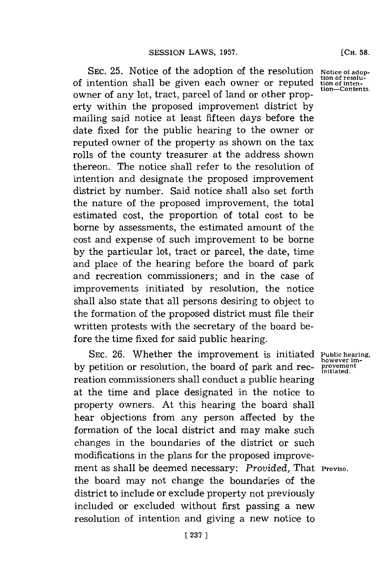SEC. 25. Notice of the adoption of the resolution **Notice of adop** of intention shall be given each owner or reputed owner of any lot, tract, parcel of land or other property within the proposed improvement district **by** mailing said notice at least fifteen days before the date fixed for the public hearing to the owner or reputed owner of the property as shown on the tax rolls of the county treasurer at the address shown thereon. The notice shall refer to the resolution of intention and designate the proposed improvement district **by** number. Said notice shall also set forth the nature of the proposed improvement, the total estimated cost, the proportion of total cost to be borne **by** assessments, the estimated amount of the cost and expense of such improvement to be borne **by** the particular lot, tract or parcel, the date, time and place of the hearing before the board of park and recreation commissioners; and in the case of improvements initiated **by** resolution, the notice shall also state that all persons desiring to object to the formation of the proposed district must file their written protests with the secretary of the board before the time fixed for said public hearing.

SEC. 26. Whether the improvement is initiated Public hearing by petition or resolution, the board of park and recreation commissioners shall conduct a public hearing at the time and place designated in the notice to property owners. At this hearing the board shall hear objections from any person affected **by** the formation of the local district and may make such changes in the boundaries of the district or such modifications in the plans for the proposed improvement as shall be deemed necessary: *Provided,* That **Proviso.** the board may not change the boundaries of the district to include or exclude property not previously included or excluded without first passing a new resolution of intention and giving a new notice to

**\*solu-ten**tion—Contents.

however improvement<br>initiated.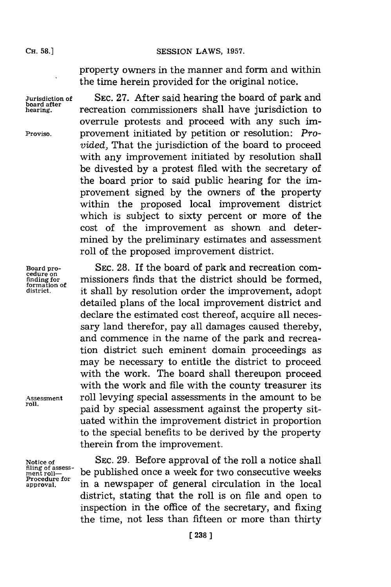**Jurisdiction of board after hearing.**

**Proviso.**

**8ESSION LAWS, 1957.** 

property owners in the manner and form and within the time herein provided for the original notice.

**SEC. 27.** After said hearing the board of park and recreation commissioners shall have jurisdiction to overrule protests and proceed with any such improvement initiated **by** petition or resolution: *Provided,* That the jurisdiction of the board to proceed with any improvement initiated **by** resolution shall be divested **by** a protest filed with the secretary of the board prior to said public hearing for the improvement signed **by** the owners of the property within the proposed local improvement district which is subject to sixty percent or more of the cost of the improvement as shown and determined **by** the preliminary estimates and assessment roll of the proposed improvement district.

**Board pro- SEC. 28.** If the board of park and recreation com**chall conduct on . finding for cenure in the missioners finds that the district should be formed, <br>the district of a struct shall by resolution order the improvement adopt district.** it shall **by** resolution order the improvement, adopt detailed plans of the local improvement district and declare the estimated cost thereof, acquire all necessary land therefor, pay all damages caused thereby, and commence in the name of the park and recreation district such eminent domain proceedings as may be necessary to entitle the district to proceed with the work. The board shall thereupon proceed with the work and file with the county treasurer its **A4ssessment** roll levying special assessments in the amount to be paid by special assessment against the property situated within the improvement district in proportion to the special benefits to be derived **by** the property therein from the improvement.

> **SEC. 29.** Before approval of the roll a notice shall be published once a week for two consecutive weeks in a newspaper of general circulation in the local district, stating that the roll is on file and open to inspection in the office of the secretary, and fixing the time, not less than fifteen or more than thirty

**Notice of** filing of assess-<br>ment roll— **Procedure for approval.**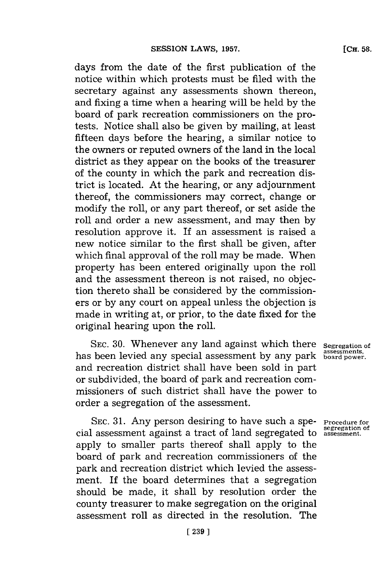days from the date of the first publication of the notice within which protests must be filed with the secretary against any assessments shown thereon, and fixing a time when a hearing will be held **by** the board of park recreation commissioners on the protests. Notice shall also be given **by** mailing, at least fifteen days before the hearing, a similar notice to the owners or reputed owners of the land in the local district as they appear on the books of the treasurer of the county in which the park and recreation district is located. At the hearing, or any adjournment thereof, the commissioners may correct, change or modify the roll, or any part thereof, or set aside the roll and order a new assessment, and may then **by** resolution approve it. **If** an assessment is raised a new notice similar to the first shall be given, after which final approval of the roll may be made. When property has been entered originally upon the roll and the assessment thereon is not raised, no objection thereto shall be considered **by** the commissioners or **by** any court on appeal unless the objection is made in writing at, or prior, to the date fixed for the original hearing upon the roll.

**SEC. 30.** Whenever any land against which there has been levied any special assessment **by** any park and recreation district shall have been sold in part or subdivided, the board of park and recreation commissioners of such district shall have the power to order a segregation of the assessment.

**SEC. 31.** Any person desiring to have such a special assessment against a tract of land segregated to apply to smaller parts thereof shall apply to the board of park and recreation commissioners of the park and recreation district which levied the assessment. If the board determines that a segregation should be made, it shall **by** resolution order the county treasurer to make segregation on the original assessment roll as directed in the resolution. The

**Procedure for segregation of assessment.**